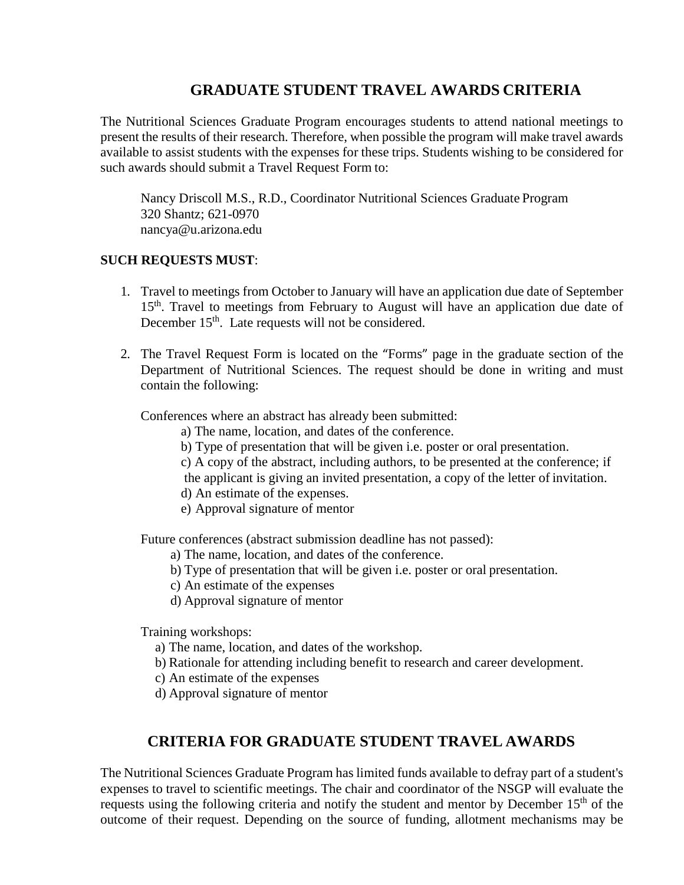## **GRADUATE STUDENT TRAVEL AWARDS CRITERIA**

The Nutritional Sciences Graduate Program encourages students to attend national meetings to present the results of their research. Therefore, when possible the program will make travel awards available to assist students with the expenses for these trips. Students wishing to be considered for such awards should submit a Travel Request Form to:

Nancy Driscoll M.S., R.D., Coordinator Nutritional Sciences Graduate Program 320 Shantz; 621-0970 [nancya@u.arizona.edu](mailto:nancya@u.arizona.edu)

## **SUCH REQUESTS MUST**:

- 1. Travel to meetings from October to January will have an application due date of September 15<sup>th</sup>. Travel to meetings from February to August will have an application due date of December 15<sup>th</sup>. Late requests will not be considered.
- 2. The Travel Request Form is located on the "Forms" page in the graduate section of the Department of Nutritional Sciences. The request should be done in writing and must contain the following:

Conferences where an abstract has already been submitted:

- a) The name, location, and dates of the conference.
- b) Type of presentation that will be given i.e. poster or oral presentation.
- c) A copy of the abstract, including authors, to be presented at the conference; if the applicant is giving an invited presentation, a copy of the letter of invitation.

- d) An estimate of the expenses.
- e) Approval signature of mentor

Future conferences (abstract submission deadline has not passed):

- a) The name, location, and dates of the conference.
- b) Type of presentation that will be given i.e. poster or oral presentation.
- c) An estimate of the expenses
- d) Approval signature of mentor

Training workshops:

- a) The name, location, and dates of the workshop.
- b) Rationale for attending including benefit to research and career development.
- c) An estimate of the expenses
- d) Approval signature of mentor

## **CRITERIA FOR GRADUATE STUDENT TRAVEL AWARDS**

The Nutritional Sciences Graduate Program has limited funds available to defray part of a student's expenses to travel to scientific meetings. The chair and coordinator of the NSGP will evaluate the requests using the following criteria and notify the student and mentor by December 15<sup>th</sup> of the outcome of their request. Depending on the source of funding, allotment mechanisms may be